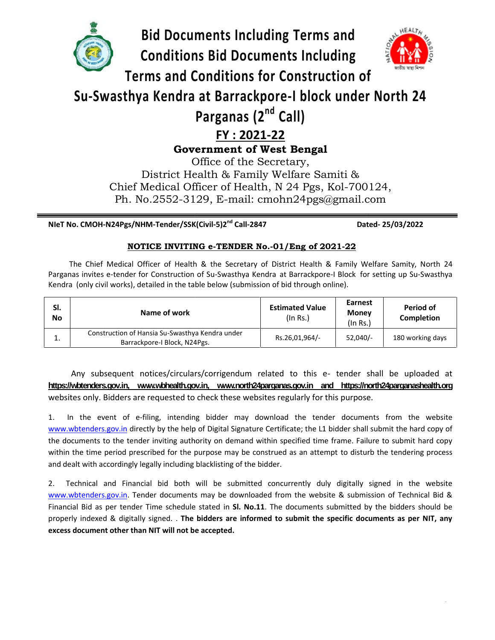

**NIeT No. CMOH-N24Pgs/NHM-Tender/SSK(Civil-5)2**

**nd Call-2847 Dated- 25/03/2022**

# **NOTICE INVITING e-TENDER No.-01/Eng of 2021-22 INVITING**

The Chief Medical Officer of Health & the Secretary of District Health & Family Welfare Samity, North 24 Parganas invites e-tender for Construction of Su-Swasthya Kendra at Barrackpore-I Block for setting up Su-Swasthya The Chief Medical Officer of Health & the Secretary of District Health & Family V<br>Parganas invites e-tender for Construction of Su-Swasthya Kendra at Barrackpore-I Block fo<br>Kendra (only civil works), detailed in the table

| SI.<br><b>No</b> | Name of work                                                                    | <b>Estimated Value</b><br>(In Rs.) | <b>Earnest</b><br><b>Money</b><br>$($ In Rs. $)$ | Period of<br>Completion |
|------------------|---------------------------------------------------------------------------------|------------------------------------|--------------------------------------------------|-------------------------|
| ⊥.               | Construction of Hansia Su-Swasthya Kendra under<br>Barrackpore-I Block, N24Pgs. | Rs.26,01,964/-                     | $52,040/-$                                       | 180 working days        |

Any subsequent notices/circulars/corrigendum related to this e- tender shall be uploaded at **https://wbtenders.gov.in, www.wbhealth.gov.in, www.north24parganas.gov.in and https://north24parganashealth.org** Any subsequent notices/circulars/corrigendum related to this e- tender shall lattips://wittenders.gov.in, www.withealth.gov.in, www.north24parganas.gov.in and https://north24p<br>websites only. Bidders are requested to check

1. In the event of e-filing, intending bidder may download the tender documents from the website www.wbtenders.gov.in directly by the help of Digital Signature Certificate; the L1 bidder shall submit the hard copy of the documents to the tender inviting authority on demand within specified time frame. Failure to submit hard copy within the time period prescribed for the purpose may be construed as an attempt to disturb the tendering process and dealt with accordingly legally including blacklisting of the bidder. white the L1 bidder ocuments to the tender inviting authority on demand within specified time frame<br>ocuments to the tender inviting authority on demand within specified time frame<br>in the time period prescribed for the purp

2. Technical and Financial bid both will be submitted concurrently duly digitally signed in the website www.wbtenders.gov.in. Tender documents may be downloaded from the website & submission of Technical Bid & Financial Bid as per tender Time schedule stated in **Sl. No.11**. The documents submitted by the bidders should be properly indexed & digitally signed. . **The bidders are informed to submit the specific documents as per NIT, any excess document other than NIT will not be accepted.** 1. In the event of e-filing, intending bidder may download the tender document<br>
<u>www.wbtenders.gov.in</u> directly by the help of Digital Signature Certificate; the L1 bidder shall st<br>
the documents to the tender inviting aut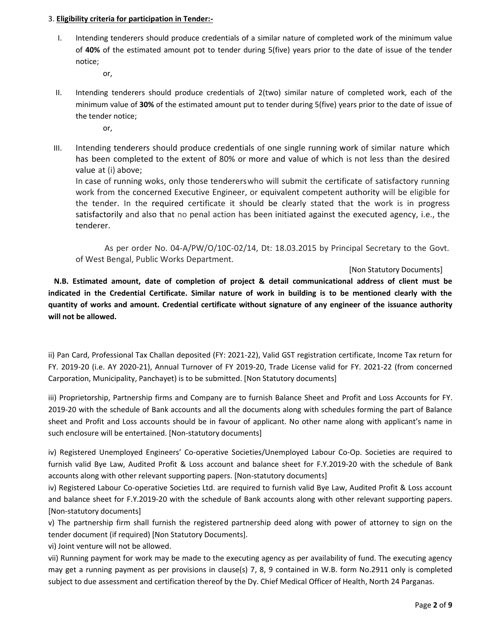### 3. **Eligibility criteria for participation in Tender:-**

I. Intending tenderers should produce credentials of a similar nature of completed work of the minimum value of **40%** of the estimated amount pot to tender during 5(five) years prior to the date of issue of the tender notice;

or,

II. Intending tenderers should produce credentials of 2(two) similar nature of completed work, each of the minimum value of **30%** of the estimated amount put to tender during 5(five) years prior to the date of issue of the tender notice;

or,

III. Intending tenderers should produce credentials of one single running work of similar nature which has been completed to the extent of 80% or more and value of which is not less than the desired value at (i) above;

In case of running woks, only those tendererswho will submit the certificate of satisfactory running work from the concerned Executive Engineer, or equivalent competent authority will be eligible for the tender. In the required certificate it should be clearly stated that the work is in progress satisfactorily and also that no penal action has been initiated against the executed agency, i.e., the tenderer.

As per order No. 04-A/PW/O/10C-02/14, Dt: 18.03.2015 by Principal Secretary to the Govt. of West Bengal, Public Works Department.

[Non Statutory Documents]

**N.B. Estimated amount, date of completion of project & detail communicational address of client must be indicated in the Credential Certificate. Similar nature of work in building is to be mentioned clearly with the quantity of works and amount. Credential certificate without signature of any engineer of the issuance authority will not be allowed.**

ii) Pan Card, Professional Tax Challan deposited (FY: 2021-22), Valid GST registration certificate, Income Tax return for FY. 2019-20 (i.e. AY 2020-21), Annual Turnover of FY 2019-20, Trade License valid for FY. 2021-22 (from concerned Carporation, Municipality, Panchayet) is to be submitted. [Non Statutory documents]

iii) Proprietorship, Partnership firms and Company are to furnish Balance Sheet and Profit and Loss Accounts for FY. 2019-20 with the schedule of Bank accounts and all the documents along with schedules forming the part of Balance sheet and Profit and Loss accounts should be in favour of applicant. No other name along with applicant's name in such enclosure will be entertained. [Non-statutory documents]

iv) Registered Unemployed Engineers' Co-operative Societies/Unemployed Labour Co-Op. Societies are required to furnish valid Bye Law, Audited Profit & Loss account and balance sheet for F.Y.2019-20 with the schedule of Bank accounts along with other relevant supporting papers. [Non-statutory documents]

iv) Registered Labour Co-operative Societies Ltd. are required to furnish valid Bye Law, Audited Profit & Loss account and balance sheet for F.Y.2019-20 with the schedule of Bank accounts along with other relevant supporting papers. [Non-statutory documents]

v) The partnership firm shall furnish the registered partnership deed along with power of attorney to sign on the tender document (if required) [Non Statutory Documents].

vi) Joint venture will not be allowed.

vii) Running payment for work may be made to the executing agency as per availability of fund. The executing agency may get a running payment as per provisions in clause(s) 7, 8, 9 contained in W.B. form No.2911 only is completed subject to due assessment and certification thereof by the Dy. Chief Medical Officer of Health, North 24 Parganas.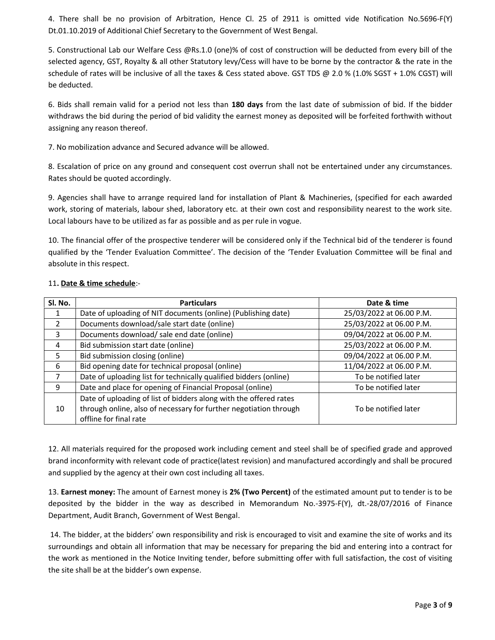4. There shall be no provision of Arbitration, Hence Cl. 25 of 2911 is omitted vide Notification No.5696-F(Y) Dt.01.10.2019 of Additional Chief Secretary to the Government of West Bengal.

5. Constructional Lab our Welfare Cess @Rs.1.0 (one)% of cost of construction will be deducted from every bill of the selected agency, GST, Royalty & all other Statutory levy/Cess will have to be borne by the contractor & the rate in the schedule of rates will be inclusive of all the taxes & Cess stated above. GST TDS @ 2.0 % (1.0% SGST + 1.0% CGST) will be deducted.

6. Bids shall remain valid for a period not less than **180 days** from the last date of submission of bid. If the bidder withdraws the bid during the period of bid validity the earnest money as deposited will be forfeited forthwith without assigning any reason thereof.

7. No mobilization advance and Secured advance will be allowed.

8. Escalation of price on any ground and consequent cost overrun shall not be entertained under any circumstances. Rates should be quoted accordingly.

9. Agencies shall have to arrange required land for installation of Plant & Machineries, (specified for each awarded work, storing of materials, labour shed, laboratory etc. at their own cost and responsibility nearest to the work site. Local labours have to be utilized as far as possible and as per rule in vogue.

10. The financial offer of the prospective tenderer will be considered only if the Technical bid of the tenderer is found qualified by the 'Tender Evaluation Committee'. The decision of the 'Tender Evaluation Committee will be final and absolute in this respect.

| Sl. No. | <b>Particulars</b>                                                | Date & time              |
|---------|-------------------------------------------------------------------|--------------------------|
| 1       | Date of uploading of NIT documents (online) (Publishing date)     | 25/03/2022 at 06.00 P.M. |
| 2       | Documents download/sale start date (online)                       | 25/03/2022 at 06.00 P.M. |
| 3       | Documents download/ sale end date (online)                        | 09/04/2022 at 06.00 P.M. |
| 4       | Bid submission start date (online)                                | 25/03/2022 at 06.00 P.M. |
| 5.      | Bid submission closing (online)                                   | 09/04/2022 at 06.00 P.M. |
| 6       | Bid opening date for technical proposal (online)                  | 11/04/2022 at 06.00 P.M. |
|         | Date of uploading list for technically qualified bidders (online) | To be notified later     |
| 9       | Date and place for opening of Financial Proposal (online)         | To be notified later     |
|         | Date of uploading of list of bidders along with the offered rates |                          |
| 10      | through online, also of necessary for further negotiation through | To be notified later     |
|         | offline for final rate                                            |                          |

#### 11**. Date & time schedule**:-

12. All materials required for the proposed work including cement and steel shall be of specified grade and approved brand inconformity with relevant code of practice(latest revision) and manufactured accordingly and shall be procured and supplied by the agency at their own cost including all taxes.

13. **Earnest money:** The amount of Earnest money is **2% (Two Percent)** of the estimated amount put to tender is to be deposited by the bidder in the way as described in Memorandum No.-3975-F(Y), dt.-28/07/2016 of Finance Department, Audit Branch, Government of West Bengal.

14. The bidder, at the bidders' own responsibility and risk is encouraged to visit and examine the site of works and its surroundings and obtain all information that may be necessary for preparing the bid and entering into a contract for the work as mentioned in the Notice Inviting tender, before submitting offer with full satisfaction, the cost of visiting the site shall be at the bidder's own expense.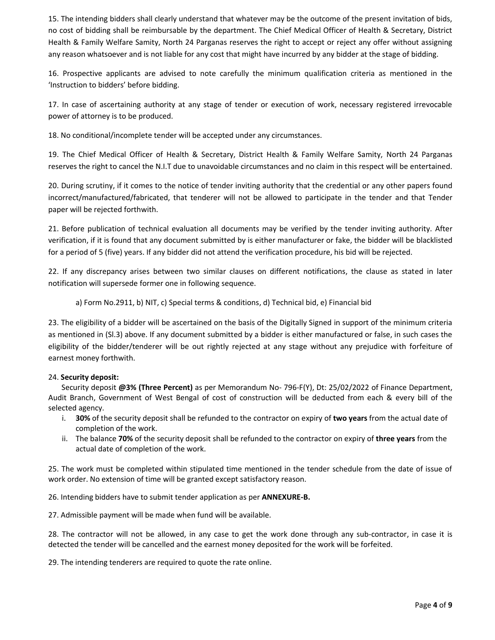15. The intending bidders shall clearly understand that whatever may be the outcome of the present invitation of bids, no cost of bidding shall be reimbursable by the department. The Chief Medical Officer of Health & Secretary, District Health & Family Welfare Samity, North 24 Parganas reserves the right to accept or reject any offer without assigning any reason whatsoever and is not liable for any cost that might have incurred by any bidder at the stage of bidding.

16. Prospective applicants are advised to note carefully the minimum qualification criteria as mentioned in the 'Instruction to bidders' before bidding.

17. In case of ascertaining authority at any stage of tender or execution of work, necessary registered irrevocable power of attorney is to be produced.

18. No conditional/incomplete tender will be accepted under any circumstances.

19. The Chief Medical Officer of Health & Secretary, District Health & Family Welfare Samity, North 24 Parganas reserves the right to cancel the N.I.T due to unavoidable circumstances and no claim in this respect will be entertained.

20. During scrutiny, if it comes to the notice of tender inviting authority that the credential or any other papers found incorrect/manufactured/fabricated, that tenderer will not be allowed to participate in the tender and that Tender paper will be rejected forthwith.

21. Before publication of technical evaluation all documents may be verified by the tender inviting authority. After verification, if it is found that any document submitted by is either manufacturer or fake, the bidder will be blacklisted for a period of 5 (five) years. If any bidder did not attend the verification procedure, his bid will be rejected.

22. If any discrepancy arises between two similar clauses on different notifications, the clause as stated in later notification will supersede former one in following sequence.

a) Form No.2911, b) NIT, c) Special terms & conditions, d) Technical bid, e) Financial bid

23. The eligibility of a bidder will be ascertained on the basis of the Digitally Signed in support of the minimum criteria as mentioned in (Sl.3) above. If any document submitted by a bidder is either manufactured or false, in such cases the eligibility of the bidder/tenderer will be out rightly rejected at any stage without any prejudice with forfeiture of earnest money forthwith.

#### 24. **Security deposit:**

Security deposit **@3% (Three Percent)** as per Memorandum No- 796-F(Y), Dt: 25/02/2022 of Finance Department, Audit Branch, Government of West Bengal of cost of construction will be deducted from each & every bill of the selected agency.

- i. **30%** of the security deposit shall be refunded to the contractor on expiry of **two years** from the actual date of completion of the work.
- ii. The balance **70%** of the security deposit shall be refunded to the contractor on expiry of **three years** from the actual date of completion of the work.

25. The work must be completed within stipulated time mentioned in the tender schedule from the date of issue of work order. No extension of time will be granted except satisfactory reason.

26. Intending bidders have to submit tender application as per **ANNEXURE-B.**

27. Admissible payment will be made when fund will be available.

28. The contractor will not be allowed, in any case to get the work done through any sub-contractor, in case it is detected the tender will be cancelled and the earnest money deposited for the work will be forfeited.

29. The intending tenderers are required to quote the rate online.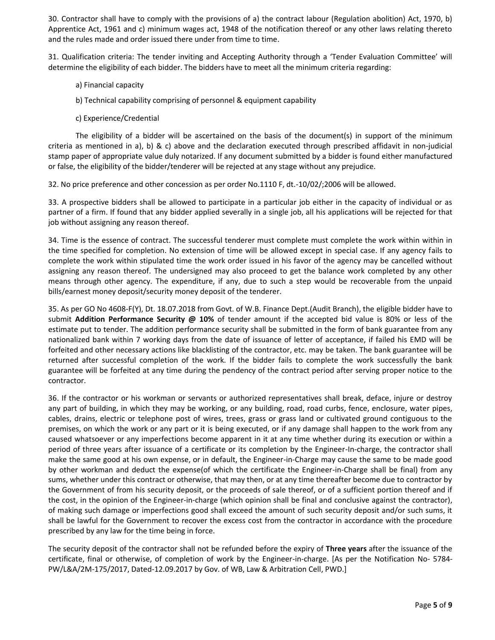30. Contractor shall have to comply with the provisions of a) the contract labour (Regulation abolition) Act, 1970, b) Apprentice Act, 1961 and c) minimum wages act, 1948 of the notification thereof or any other laws relating thereto and the rules made and order issued there under from time to time.

31. Qualification criteria: The tender inviting and Accepting Authority through a 'Tender Evaluation Committee' will determine the eligibility of each bidder. The bidders have to meet all the minimum criteria regarding:

- a) Financial capacity
- b) Technical capability comprising of personnel & equipment capability
- c) Experience/Credential

The eligibility of a bidder will be ascertained on the basis of the document(s) in support of the minimum criteria as mentioned in a), b) & c) above and the declaration executed through prescribed affidavit in non-judicial stamp paper of appropriate value duly notarized. If any document submitted by a bidder is found either manufactured or false, the eligibility of the bidder/tenderer will be rejected at any stage without any prejudice.

32. No price preference and other concession as per order No.1110 F, dt.-10/02/;2006 will be allowed.

33. A prospective bidders shall be allowed to participate in a particular job either in the capacity of individual or as partner of a firm. If found that any bidder applied severally in a single job, all his applications will be rejected for that job without assigning any reason thereof.

34. Time is the essence of contract. The successful tenderer must complete must complete the work within within in the time specified for completion. No extension of time will be allowed except in special case. If any agency fails to complete the work within stipulated time the work order issued in his favor of the agency may be cancelled without assigning any reason thereof. The undersigned may also proceed to get the balance work completed by any other means through other agency. The expenditure, if any, due to such a step would be recoverable from the unpaid bills/earnest money deposit/security money deposit of the tenderer.

35. As per GO No 4608-F(Y), Dt. 18.07.2018 from Govt. of W.B. Finance Dept.(Audit Branch), the eligible bidder have to submit **Addition Performance Security @ 10%** of tender amount if the accepted bid value is 80% or less of the estimate put to tender. The addition performance security shall be submitted in the form of bank guarantee from any nationalized bank within 7 working days from the date of issuance of letter of acceptance, if failed his EMD will be forfeited and other necessary actions like blacklisting of the contractor, etc. may be taken. The bank guarantee will be returned after successful completion of the work. If the bidder fails to complete the work successfully the bank guarantee will be forfeited at any time during the pendency of the contract period after serving proper notice to the contractor.

36. If the contractor or his workman or servants or authorized representatives shall break, deface, injure or destroy any part of building, in which they may be working, or any building, road, road curbs, fence, enclosure, water pipes, cables, drains, electric or telephone post of wires, trees, grass or grass land or cultivated ground contiguous to the premises, on which the work or any part or it is being executed, or if any damage shall happen to the work from any caused whatsoever or any imperfections become apparent in it at any time whether during its execution or within a period of three years after issuance of a certificate or its completion by the Engineer-In-charge, the contractor shall make the same good at his own expense, or in default, the Engineer-in-Charge may cause the same to be made good by other workman and deduct the expense(of which the certificate the Engineer-in-Charge shall be final) from any sums, whether under this contract or otherwise, that may then, or at any time thereafter become due to contractor by the Government of from his security deposit, or the proceeds of sale thereof, or of a sufficient portion thereof and if the cost, in the opinion of the Engineer-in-charge (which opinion shall be final and conclusive against the contractor), of making such damage or imperfections good shall exceed the amount of such security deposit and/or such sums, it shall be lawful for the Government to recover the excess cost from the contractor in accordance with the procedure prescribed by any law for the time being in force.

The security deposit of the contractor shall not be refunded before the expiry of **Three years** after the issuance of the certificate, final or otherwise, of completion of work by the Engineer-in-charge. [As per the Notification No- 5784- PW/L&A/2M-175/2017, Dated-12.09.2017 by Gov. of WB, Law & Arbitration Cell, PWD.]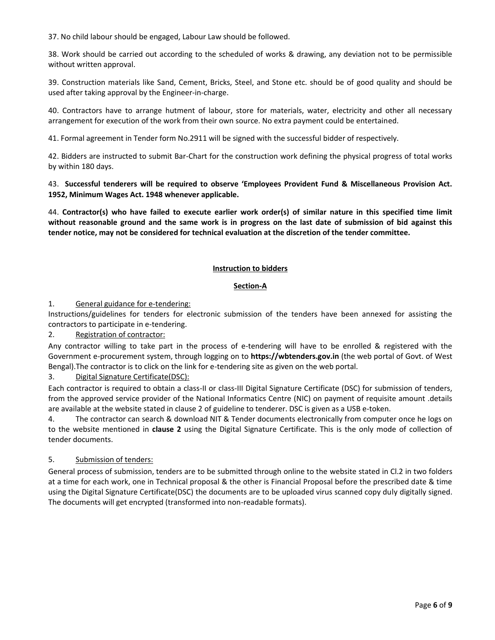37. No child labour should be engaged, Labour Law should be followed.

38. Work should be carried out according to the scheduled of works & drawing, any deviation not to be permissible without written approval.

39. Construction materials like Sand, Cement, Bricks, Steel, and Stone etc. should be of good quality and should be used after taking approval by the Engineer-in-charge.

40. Contractors have to arrange hutment of labour, store for materials, water, electricity and other all necessary arrangement for execution of the work from their own source. No extra payment could be entertained.

41. Formal agreement in Tender form No.2911 will be signed with the successful bidder of respectively.

42. Bidders are instructed to submit Bar-Chart for the construction work defining the physical progress of total works by within 180 days.

## 43. **Successful tenderers will be required to observe 'Employees Provident Fund & Miscellaneous Provision Act. 1952, Minimum Wages Act. 1948 whenever applicable.**

44. **Contractor(s) who have failed to execute earlier work order(s) of similar nature in this specified time limit without reasonable ground and the same work is in progress on the last date of submission of bid against this tender notice, may not be considered for technical evaluation at the discretion of the tender committee.**

## **Instruction to bidders**

## **Section-A**

1. General guidance for e-tendering:

Instructions/guidelines for tenders for electronic submission of the tenders have been annexed for assisting the contractors to participate in e-tendering.

2. Registration of contractor:

Any contractor willing to take part in the process of e-tendering will have to be enrolled & registered with the Government e-procurement system, through logging on to **https://wbtenders.gov.in** (the web portal of Govt. of West Bengal).The contractor is to click on the link for e-tendering site as given on the web portal.

3. Digital Signature Certificate(DSC):

Each contractor is required to obtain a class-II or class-III Digital Signature Certificate (DSC) for submission of tenders, from the approved service provider of the National Informatics Centre (NIC) on payment of requisite amount .details are available at the website stated in clause 2 of guideline to tenderer. DSC is given as a USB e-token.

4. The contractor can search & download NIT & Tender documents electronically from computer once he logs on to the website mentioned in **clause 2** using the Digital Signature Certificate. This is the only mode of collection of tender documents.

# 5. Submission of tenders:

General process of submission, tenders are to be submitted through online to the website stated in Cl.2 in two folders at a time for each work, one in Technical proposal & the other is Financial Proposal before the prescribed date & time using the Digital Signature Certificate(DSC) the documents are to be uploaded virus scanned copy duly digitally signed. The documents will get encrypted (transformed into non-readable formats).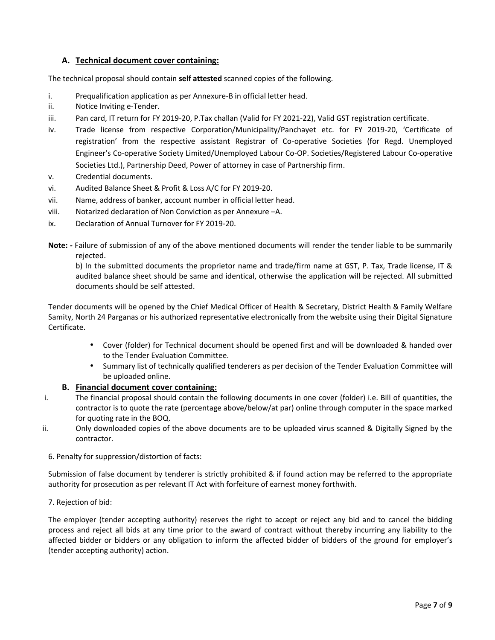# **A. Technical document cover containing:**

The technical proposal should contain **self attested** scanned copies of the following.

- i. Prequalification application as per Annexure-B in official letter head.
- ii. Notice Inviting e-Tender.
- iii. Pan card, IT return for FY 2019-20, P.Tax challan (Valid for FY 2021-22), Valid GST registration certificate.
- iv. Trade license from respective Corporation/Municipality/Panchayet etc. for FY 2019-20, 'Certificate of registration' from the respective assistant Registrar of Co-operative Societies (for Regd. Unemployed Engineer's Co-operative Society Limited/Unemployed Labour Co-OP. Societies/Registered Labour Co-operative Societies Ltd.), Partnership Deed, Power of attorney in case of Partnership firm.
- v. Credential documents.
- vi. Audited Balance Sheet & Profit & Loss A/C forFY 2019-20.
- vii. Name, address of banker, account number in official letter head.
- viii. Notarized declaration of Non Conviction as per Annexure –A.
- ix. Declaration of Annual Turnover for FY 2019-20.
- **Note: -** Failure of submission of any of the above mentioned documents will render the tender liable to be summarily rejected.

b) In the submitted documents the proprietor name and trade/firm name at GST, P. Tax, Trade license, IT & audited balance sheet should be same and identical, otherwise the application will be rejected. All submitted documents should be self attested.

Tender documents will be opened by the Chief Medical Officer of Health & Secretary, District Health & Family Welfare Samity, North 24 Parganas or his authorized representative electronically from the website using their Digital Signature Certificate.

- Cover (folder) for Technical document should be opened first and will be downloaded & handed over to the Tender Evaluation Committee.
- Summary list of technically qualified tenderers as per decision of the Tender Evaluation Committee will be uploaded online.

#### **B. Financial document cover containing:**

- i. The financial proposal should contain the following documents in one cover (folder) i.e. Bill of quantities, the contractor is to quote the rate (percentage above/below/at par) online through computer in the space marked for quoting rate in the BOQ.
- ii. Only downloaded copies of the above documents are to be uploaded virus scanned & Digitally Signed by the contractor.
	- 6. Penalty for suppression/distortion of facts:

Submission of false document by tenderer is strictly prohibited & if found action may be referred to the appropriate authority for prosecution as per relevant IT Act with forfeiture of earnest money forthwith.

7. Rejection of bid:

The employer (tender accepting authority) reserves the right to accept or reject any bid and to cancel the bidding process and reject all bids at any time prior to the award of contract without thereby incurring any liability to the affected bidder or bidders or any obligation to inform the affected bidder of bidders of the ground for employer's (tender accepting authority) action.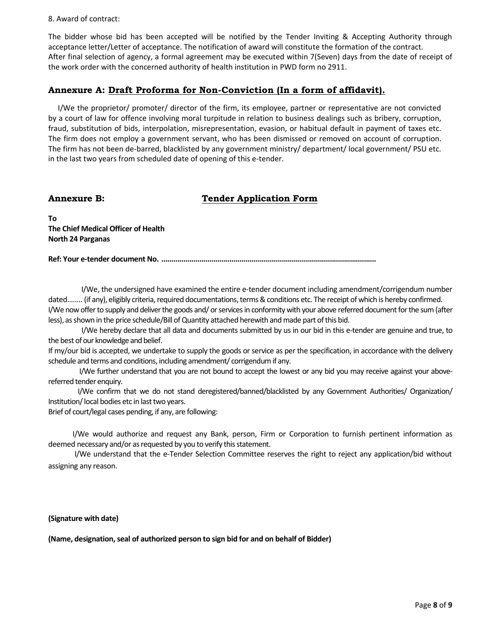#### 8. Award of contract:

The bidder whose bid has been accepted will be notified by the Tender Inviting & Accepting Authority through acceptance letter/Letter of acceptance. The notification of award will constitute the formation of the contract. After final selection of agency, a formal agreement may be executed within 7(Seven) days from the date of receipt of the work order with the concerned authority of health institution in PWD form no 2911.

# **Annexure A: Draft Proforma for Non-Conviction (In a form of affidavit).**

I/We the proprietor/ promoter/ director of the firm, its employee, partner or representative are not convicted by a court of law for offence involving moral turpitude in relation to business dealings such as bribery, corruption, fraud, substitution of bids, interpolation, misrepresentation, evasion, or habitual default in payment of taxes etc. The firm does not employ a government servant, who has been dismissed or removed on account of corruption. The firm has not been de-barred, blacklisted by any government ministry/ department/ local government/ PSU etc. in the last two years from scheduled date of opening of this e-tender.

# **Annexure B: Tender Application Form**

**To The Chief Medical Officer of Health North 24 Parganas**

**Ref: Your e-tender document No. ...........................................................................................................**

I/We, the undersigned have examined the entire e-tender document including amendment/corrigendum number dated…….. (if any), eligibly criteria, required documentations, terms & conditions etc. The receipt of which is hereby confirmed. I/We now offer to supply and deliver the goods and/ or services in conformity with your above referred document for the sum(after less), as shown in the price schedule/Bill of Quantity attached herewith and made part of this bid.

I/We hereby declare that all data and documents submitted by us in our bid in this e-tender are genuine and true, to the best of our knowledge and belief.

If my/our bid is accepted, we undertake to supply the goods or service as per the specification, in accordance with the delivery schedule and terms and conditions, including amendment/ corrigendum if any.

I/We further understand that you are not bound to accept the lowest or any bid you may receive against your above referred tender enquiry.

I/We confirm that we do not stand deregistered/banned/blacklisted by any Government Authorities/ Organization/ Institution/local bodies etc in last two years.

Brief of court/legal cases pending, if any, are following:

I/We would authorize and request any Bank, person, Firm or Corporation to furnish pertinent information as deemed necessary and/or as requested by you to verify this statement.

I/We understand that the e-Tender Selection Committee reserves the right to reject any application/bid without assigning any reason.

**(Signature with date)**

**(Name, designation, seal of authorized person to sign bid for and on behalf of Bidder)**